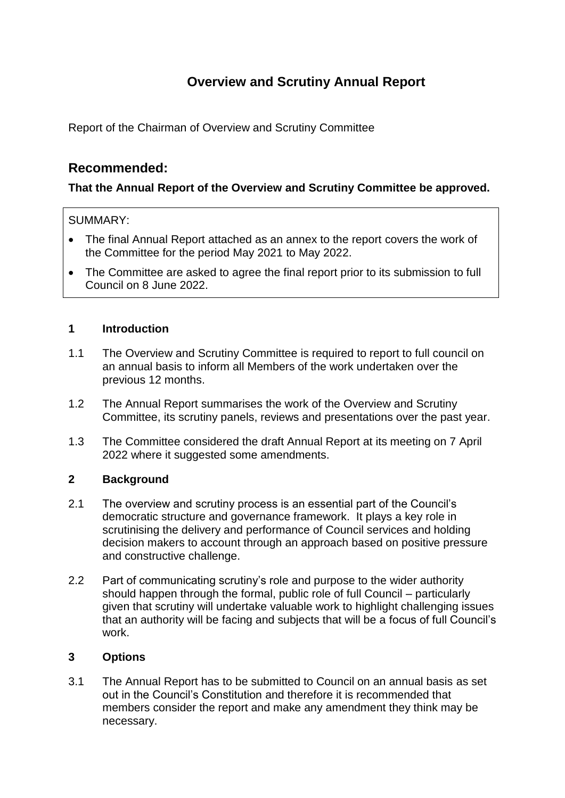# **Overview and Scrutiny Annual Report**

Report of the Chairman of Overview and Scrutiny Committee

## **Recommended:**

## **That the Annual Report of the Overview and Scrutiny Committee be approved.**

## SUMMARY:

- The final Annual Report attached as an annex to the report covers the work of the Committee for the period May 2021 to May 2022.
- The Committee are asked to agree the final report prior to its submission to full Council on 8 June 2022.

## **1 Introduction**

- 1.1 The Overview and Scrutiny Committee is required to report to full council on an annual basis to inform all Members of the work undertaken over the previous 12 months.
- 1.2 The Annual Report summarises the work of the Overview and Scrutiny Committee, its scrutiny panels, reviews and presentations over the past year.
- 1.3 The Committee considered the draft Annual Report at its meeting on 7 April 2022 where it suggested some amendments.

## **2 Background**

- 2.1 The overview and scrutiny process is an essential part of the Council's democratic structure and governance framework. It plays a key role in scrutinising the delivery and performance of Council services and holding decision makers to account through an approach based on positive pressure and constructive challenge.
- 2.2 Part of communicating scrutiny's role and purpose to the wider authority should happen through the formal, public role of full Council – particularly given that scrutiny will undertake valuable work to highlight challenging issues that an authority will be facing and subjects that will be a focus of full Council's work.

## **3 Options**

3.1 The Annual Report has to be submitted to Council on an annual basis as set out in the Council's Constitution and therefore it is recommended that members consider the report and make any amendment they think may be necessary.